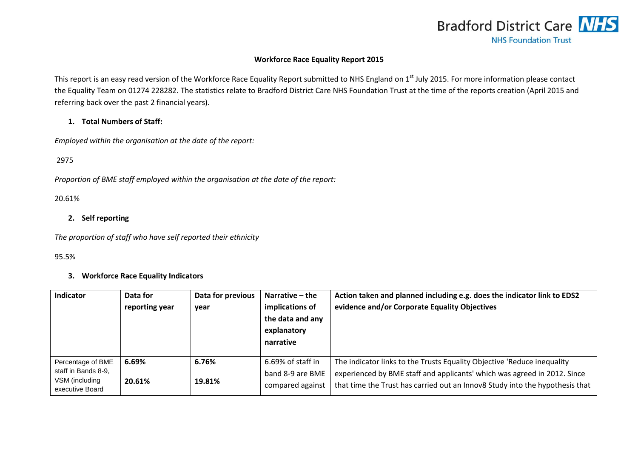

## **Workforce Race Equality Report 2015**

This report is an easy read version of the Workforce Race Equality Report submitted to NHS England on 1<sup>st</sup> July 2015. For more information please contact the Equality Team on 01274 228282. The statistics relate to Bradford District Care NHS Foundation Trust at the time of the reports creation (April 2015 and referring back over the past 2 financial years).

## **1. Total Numbers of Staff:**

*Employed within the organisation at the date of the report:*

2975

*Proportion of BME staff employed within the organisation at the date of the report:*

#### 20.61%

## **2. Self reporting**

*The proportion of staff who have self reported their ethnicity* 

#### 95.5%

#### **3. Workforce Race Equality Indicators**

| <b>Indicator</b>                                                              | Data for<br>reporting year | Data for previous<br>year | Narrative – the<br>implications of<br>the data and any<br>explanatory<br>narrative | Action taken and planned including e.g. does the indicator link to EDS2<br>evidence and/or Corporate Equality Objectives                                                                                                            |
|-------------------------------------------------------------------------------|----------------------------|---------------------------|------------------------------------------------------------------------------------|-------------------------------------------------------------------------------------------------------------------------------------------------------------------------------------------------------------------------------------|
| Percentage of BME<br>staff in Bands 8-9,<br>VSM (including<br>executive Board | 6.69%<br>20.61%            | 6.76%<br>19.81%           | 6.69% of staff in<br>band 8-9 are BME<br>compared against                          | The indicator links to the Trusts Equality Objective 'Reduce inequality<br>experienced by BME staff and applicants' which was agreed in 2012. Since<br>that time the Trust has carried out an Innov8 Study into the hypothesis that |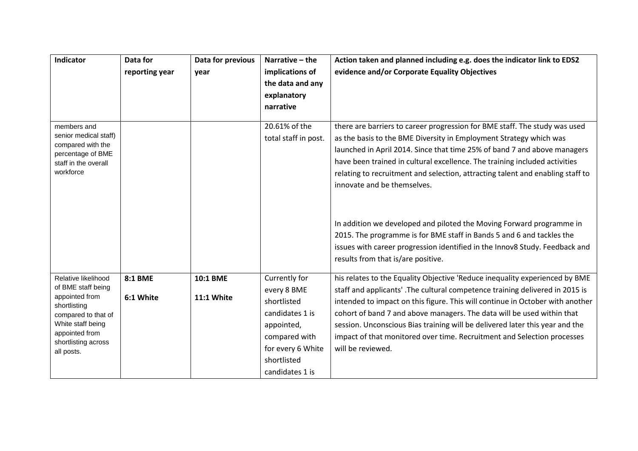| Indicator                                                                                                                                                                      | Data for<br>reporting year  | Data for previous<br>year | Narrative - the<br>implications of<br>the data and any<br>explanatory<br>narrative                                                                   | Action taken and planned including e.g. does the indicator link to EDS2<br>evidence and/or Corporate Equality Objectives                                                                                                                                                                                                                                                                                                                                                                               |
|--------------------------------------------------------------------------------------------------------------------------------------------------------------------------------|-----------------------------|---------------------------|------------------------------------------------------------------------------------------------------------------------------------------------------|--------------------------------------------------------------------------------------------------------------------------------------------------------------------------------------------------------------------------------------------------------------------------------------------------------------------------------------------------------------------------------------------------------------------------------------------------------------------------------------------------------|
| members and<br>senior medical staff)<br>compared with the<br>percentage of BME<br>staff in the overall<br>workforce                                                            |                             |                           | 20.61% of the<br>total staff in post.                                                                                                                | there are barriers to career progression for BME staff. The study was used<br>as the basis to the BME Diversity in Employment Strategy which was<br>launched in April 2014. Since that time 25% of band 7 and above managers<br>have been trained in cultural excellence. The training included activities<br>relating to recruitment and selection, attracting talent and enabling staff to<br>innovate and be themselves.                                                                            |
|                                                                                                                                                                                |                             |                           |                                                                                                                                                      | In addition we developed and piloted the Moving Forward programme in<br>2015. The programme is for BME staff in Bands 5 and 6 and tackles the<br>issues with career progression identified in the Innov8 Study. Feedback and<br>results from that is/are positive.                                                                                                                                                                                                                                     |
| Relative likelihood<br>of BME staff being<br>appointed from<br>shortlisting<br>compared to that of<br>White staff being<br>appointed from<br>shortlisting across<br>all posts. | <b>8:1 BME</b><br>6:1 White | 10:1 BME<br>11:1 White    | Currently for<br>every 8 BME<br>shortlisted<br>candidates 1 is<br>appointed,<br>compared with<br>for every 6 White<br>shortlisted<br>candidates 1 is | his relates to the Equality Objective 'Reduce inequality experienced by BME<br>staff and applicants'. The cultural competence training delivered in 2015 is<br>intended to impact on this figure. This will continue in October with another<br>cohort of band 7 and above managers. The data will be used within that<br>session. Unconscious Bias training will be delivered later this year and the<br>impact of that monitored over time. Recruitment and Selection processes<br>will be reviewed. |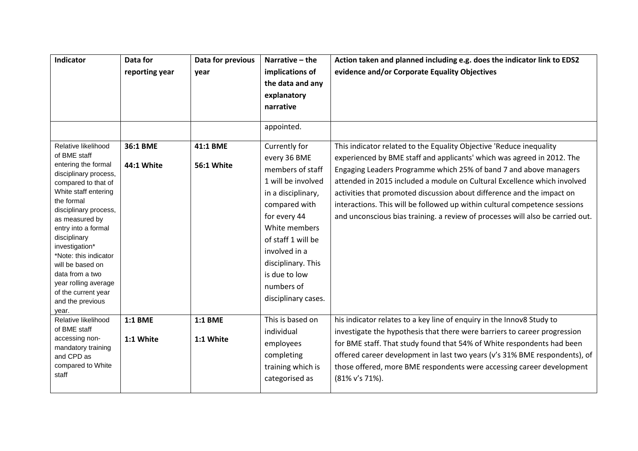| Indicator                                                                                                                                                                                                                                                                                                                                                                                        | Data for<br>reporting year  | Data for previous<br>year     | Narrative - the<br>implications of<br>the data and any<br>explanatory<br>narrative                                                                                                                                                                                 | Action taken and planned including e.g. does the indicator link to EDS2<br>evidence and/or Corporate Equality Objectives                                                                                                                                                                                                                                                                                                                                                                                                                 |
|--------------------------------------------------------------------------------------------------------------------------------------------------------------------------------------------------------------------------------------------------------------------------------------------------------------------------------------------------------------------------------------------------|-----------------------------|-------------------------------|--------------------------------------------------------------------------------------------------------------------------------------------------------------------------------------------------------------------------------------------------------------------|------------------------------------------------------------------------------------------------------------------------------------------------------------------------------------------------------------------------------------------------------------------------------------------------------------------------------------------------------------------------------------------------------------------------------------------------------------------------------------------------------------------------------------------|
|                                                                                                                                                                                                                                                                                                                                                                                                  |                             |                               | appointed.                                                                                                                                                                                                                                                         |                                                                                                                                                                                                                                                                                                                                                                                                                                                                                                                                          |
| Relative likelihood<br>of BME staff<br>entering the formal<br>disciplinary process,<br>compared to that of<br>White staff entering<br>the formal<br>disciplinary process,<br>as measured by<br>entry into a formal<br>disciplinary<br>investigation*<br>*Note: this indicator<br>will be based on<br>data from a two<br>year rolling average<br>of the current year<br>and the previous<br>year. | 36:1 BME<br>44:1 White      | 41:1 BME<br><b>56:1 White</b> | Currently for<br>every 36 BME<br>members of staff<br>1 will be involved<br>in a disciplinary,<br>compared with<br>for every 44<br>White members<br>of staff 1 will be<br>involved in a<br>disciplinary. This<br>is due to low<br>numbers of<br>disciplinary cases. | This indicator related to the Equality Objective 'Reduce inequality<br>experienced by BME staff and applicants' which was agreed in 2012. The<br>Engaging Leaders Programme which 25% of band 7 and above managers<br>attended in 2015 included a module on Cultural Excellence which involved<br>activities that promoted discussion about difference and the impact on<br>interactions. This will be followed up within cultural competence sessions<br>and unconscious bias training. a review of processes will also be carried out. |
| Relative likelihood<br>of BME staff<br>accessing non-<br>mandatory training<br>and CPD as<br>compared to White<br>staff                                                                                                                                                                                                                                                                          | <b>1:1 BME</b><br>1:1 White | <b>1:1 BME</b><br>1:1 White   | This is based on<br>individual<br>employees<br>completing<br>training which is<br>categorised as                                                                                                                                                                   | his indicator relates to a key line of enquiry in the Innov8 Study to<br>investigate the hypothesis that there were barriers to career progression<br>for BME staff. That study found that 54% of White respondents had been<br>offered career development in last two years (v's 31% BME respondents), of<br>those offered, more BME respondents were accessing career development<br>(81% v's 71%).                                                                                                                                    |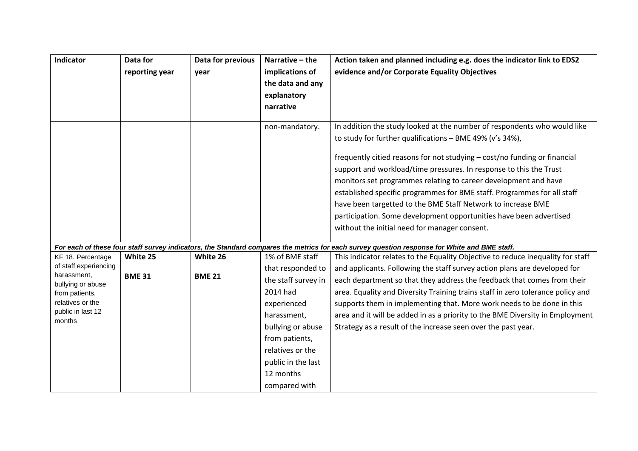| Indicator                                  | Data for       | Data for previous | Narrative - the     | Action taken and planned including e.g. does the indicator link to EDS2                                                                      |
|--------------------------------------------|----------------|-------------------|---------------------|----------------------------------------------------------------------------------------------------------------------------------------------|
|                                            | reporting year | year              | implications of     | evidence and/or Corporate Equality Objectives                                                                                                |
|                                            |                |                   | the data and any    |                                                                                                                                              |
|                                            |                |                   | explanatory         |                                                                                                                                              |
|                                            |                |                   | narrative           |                                                                                                                                              |
|                                            |                |                   |                     |                                                                                                                                              |
|                                            |                |                   | non-mandatory.      | In addition the study looked at the number of respondents who would like                                                                     |
|                                            |                |                   |                     | to study for further qualifications - BME 49% (v's 34%),                                                                                     |
|                                            |                |                   |                     | frequently citied reasons for not studying - cost/no funding or financial                                                                    |
|                                            |                |                   |                     | support and workload/time pressures. In response to this the Trust                                                                           |
|                                            |                |                   |                     | monitors set programmes relating to career development and have                                                                              |
|                                            |                |                   |                     | established specific programmes for BME staff. Programmes for all staff                                                                      |
|                                            |                |                   |                     | have been targetted to the BME Staff Network to increase BME                                                                                 |
|                                            |                |                   |                     | participation. Some development opportunities have been advertised                                                                           |
|                                            |                |                   |                     | without the initial need for manager consent.                                                                                                |
|                                            |                |                   |                     |                                                                                                                                              |
|                                            |                |                   |                     | For each of these four staff survey indicators, the Standard compares the metrics for each survey question response for White and BME staff. |
| KF 18. Percentage<br>of staff experiencing | White 25       | White 26          | 1% of BME staff     | This indicator relates to the Equality Objective to reduce inequality for staff                                                              |
| harassment,                                | <b>BME 31</b>  | <b>BME 21</b>     | that responded to   | and applicants. Following the staff survey action plans are developed for                                                                    |
| bullying or abuse                          |                |                   | the staff survey in | each department so that they address the feedback that comes from their                                                                      |
| from patients,                             |                |                   | 2014 had            | area. Equality and Diversity Training trains staff in zero tolerance policy and                                                              |
| relatives or the                           |                |                   | experienced         | supports them in implementing that. More work needs to be done in this                                                                       |
| public in last 12<br>months                |                |                   | harassment,         | area and it will be added in as a priority to the BME Diversity in Employment                                                                |
|                                            |                |                   | bullying or abuse   | Strategy as a result of the increase seen over the past year.                                                                                |
|                                            |                |                   | from patients,      |                                                                                                                                              |
|                                            |                |                   | relatives or the    |                                                                                                                                              |
|                                            |                |                   | public in the last  |                                                                                                                                              |
|                                            |                |                   | 12 months           |                                                                                                                                              |
|                                            |                |                   | compared with       |                                                                                                                                              |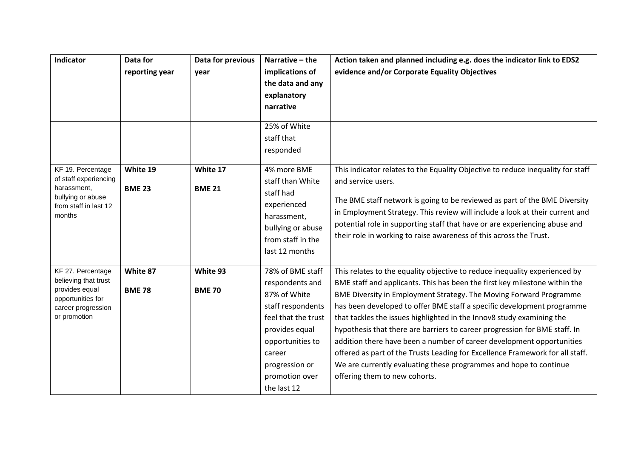| Indicator                                 | Data for       | Data for previous | Narrative - the     | Action taken and planned including e.g. does the indicator link to EDS2         |
|-------------------------------------------|----------------|-------------------|---------------------|---------------------------------------------------------------------------------|
|                                           | reporting year | year              | implications of     | evidence and/or Corporate Equality Objectives                                   |
|                                           |                |                   | the data and any    |                                                                                 |
|                                           |                |                   | explanatory         |                                                                                 |
|                                           |                |                   | narrative           |                                                                                 |
|                                           |                |                   |                     |                                                                                 |
|                                           |                |                   | 25% of White        |                                                                                 |
|                                           |                |                   | staff that          |                                                                                 |
|                                           |                |                   | responded           |                                                                                 |
| KF 19. Percentage                         | White 19       | White 17          | 4% more BME         | This indicator relates to the Equality Objective to reduce inequality for staff |
| of staff experiencing                     |                |                   | staff than White    | and service users.                                                              |
| harassment,<br>bullying or abuse          | <b>BME 23</b>  | <b>BME 21</b>     | staff had           |                                                                                 |
| from staff in last 12                     |                |                   | experienced         | The BME staff network is going to be reviewed as part of the BME Diversity      |
| months                                    |                |                   | harassment,         | in Employment Strategy. This review will include a look at their current and    |
|                                           |                |                   | bullying or abuse   | potential role in supporting staff that have or are experiencing abuse and      |
|                                           |                |                   | from staff in the   | their role in working to raise awareness of this across the Trust.              |
|                                           |                |                   | last 12 months      |                                                                                 |
|                                           |                |                   |                     |                                                                                 |
| KF 27. Percentage<br>believing that trust | White 87       | White 93          | 78% of BME staff    | This relates to the equality objective to reduce inequality experienced by      |
| provides equal                            | <b>BME 78</b>  | <b>BME 70</b>     | respondents and     | BME staff and applicants. This has been the first key milestone within the      |
| opportunities for<br>career progression   |                |                   | 87% of White        | BME Diversity in Employment Strategy. The Moving Forward Programme              |
|                                           |                |                   | staff respondents   | has been developed to offer BME staff a specific development programme          |
| or promotion                              |                |                   | feel that the trust | that tackles the issues highlighted in the Innov8 study examining the           |
|                                           |                |                   | provides equal      | hypothesis that there are barriers to career progression for BME staff. In      |
|                                           |                |                   | opportunities to    | addition there have been a number of career development opportunities           |
|                                           |                |                   | career              | offered as part of the Trusts Leading for Excellence Framework for all staff.   |
|                                           |                |                   | progression or      | We are currently evaluating these programmes and hope to continue               |
|                                           |                |                   | promotion over      | offering them to new cohorts.                                                   |
|                                           |                |                   | the last 12         |                                                                                 |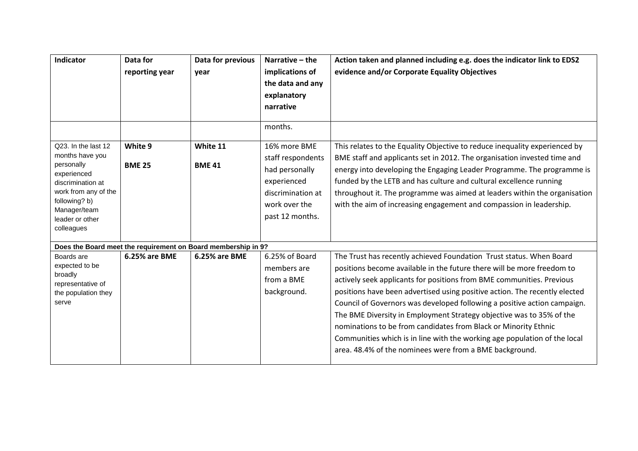| <b>Indicator</b>                                                                                                                                                                   | Data for<br>reporting year | Data for previous<br>vear                                     | Narrative - the<br>implications of<br>the data and any<br>explanatory<br>narrative<br>months.                               | Action taken and planned including e.g. does the indicator link to EDS2<br>evidence and/or Corporate Equality Objectives                                                                                                                                                                                                                                                                                                                                                                                                                                                                                                                                            |
|------------------------------------------------------------------------------------------------------------------------------------------------------------------------------------|----------------------------|---------------------------------------------------------------|-----------------------------------------------------------------------------------------------------------------------------|---------------------------------------------------------------------------------------------------------------------------------------------------------------------------------------------------------------------------------------------------------------------------------------------------------------------------------------------------------------------------------------------------------------------------------------------------------------------------------------------------------------------------------------------------------------------------------------------------------------------------------------------------------------------|
| Q23. In the last 12<br>months have you<br>personally<br>experienced<br>discrimination at<br>work from any of the<br>following? b)<br>Manager/team<br>leader or other<br>colleagues | White 9<br><b>BME 25</b>   | White 11<br><b>BME 41</b>                                     | 16% more BME<br>staff respondents<br>had personally<br>experienced<br>discrimination at<br>work over the<br>past 12 months. | This relates to the Equality Objective to reduce inequality experienced by<br>BME staff and applicants set in 2012. The organisation invested time and<br>energy into developing the Engaging Leader Programme. The programme is<br>funded by the LETB and has culture and cultural excellence running<br>throughout it. The programme was aimed at leaders within the organisation<br>with the aim of increasing engagement and compassion in leadership.                                                                                                                                                                                                          |
|                                                                                                                                                                                    |                            | Does the Board meet the requirement on Board membership in 9? |                                                                                                                             |                                                                                                                                                                                                                                                                                                                                                                                                                                                                                                                                                                                                                                                                     |
| Boards are<br>expected to be<br>broadly<br>representative of<br>the population they<br>serve                                                                                       | 6.25% are BME              | 6.25% are BME                                                 | 6.25% of Board<br>members are<br>from a BME<br>background.                                                                  | The Trust has recently achieved Foundation Trust status. When Board<br>positions become available in the future there will be more freedom to<br>actively seek applicants for positions from BME communities. Previous<br>positions have been advertised using positive action. The recently elected<br>Council of Governors was developed following a positive action campaign.<br>The BME Diversity in Employment Strategy objective was to 35% of the<br>nominations to be from candidates from Black or Minority Ethnic<br>Communities which is in line with the working age population of the local<br>area. 48.4% of the nominees were from a BME background. |